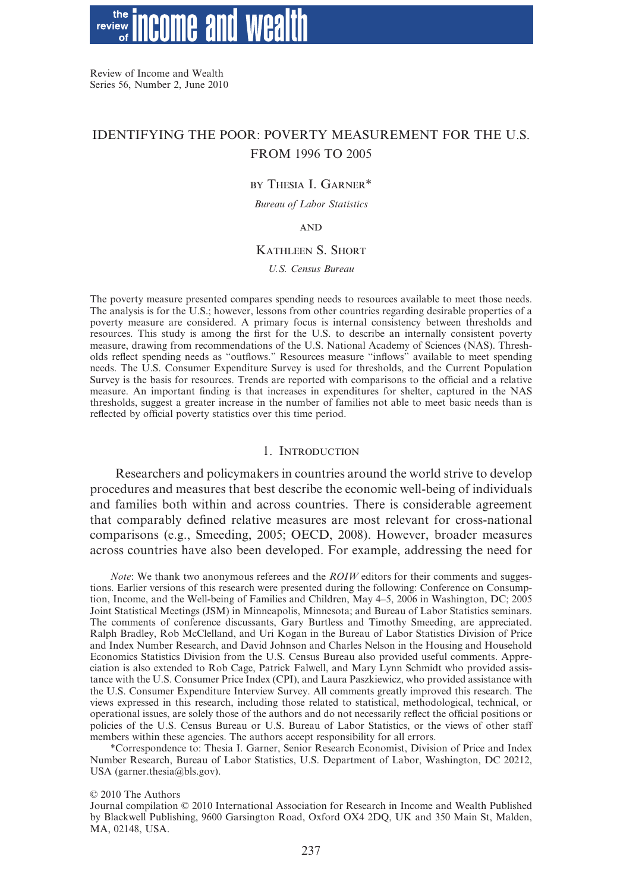IA SUL

Review of Income and Wealth Series 56, Number 2, June 2010

the

review

# IDENTIFYING THE POOR: POVERTY MEASUREMENT FOR THE U.S. FROM 1996 TO 2005

# by Thesia I. Garner\*

*Bureau of Labor Statistics*

#### **AND**

# Kathleen S. Short

#### *U.S. Census Bureau*

The poverty measure presented compares spending needs to resources available to meet those needs. The analysis is for the U.S.; however, lessons from other countries regarding desirable properties of a poverty measure are considered. A primary focus is internal consistency between thresholds and resources. This study is among the first for the U.S. to describe an internally consistent poverty measure, drawing from recommendations of the U.S. National Academy of Sciences (NAS). Thresholds reflect spending needs as "outflows." Resources measure "inflows" available to meet spending needs. The U.S. Consumer Expenditure Survey is used for thresholds, and the Current Population Survey is the basis for resources. Trends are reported with comparisons to the official and a relative measure. An important finding is that increases in expenditures for shelter, captured in the NAS thresholds, suggest a greater increase in the number of families not able to meet basic needs than is reflected by official poverty statistics over this time period.

### 1. Introduction

Researchers and policymakers in countries around the world strive to develop procedures and measures that best describe the economic well-being of individuals and families both within and across countries. There is considerable agreement that comparably defined relative measures are most relevant for cross-national comparisons (e.g., Smeeding, 2005; OECD, 2008). However, broader measures across countries have also been developed. For example, addressing the need for

*Note*: We thank two anonymous referees and the *ROIW* editors for their comments and suggestions. Earlier versions of this research were presented during the following: Conference on Consumption, Income, and the Well-being of Families and Children, May 4–5, 2006 in Washington, DC; 2005 Joint Statistical Meetings (JSM) in Minneapolis, Minnesota; and Bureau of Labor Statistics seminars. The comments of conference discussants, Gary Burtless and Timothy Smeeding, are appreciated. Ralph Bradley, Rob McClelland, and Uri Kogan in the Bureau of Labor Statistics Division of Price and Index Number Research, and David Johnson and Charles Nelson in the Housing and Household Economics Statistics Division from the U.S. Census Bureau also provided useful comments. Appreciation is also extended to Rob Cage, Patrick Falwell, and Mary Lynn Schmidt who provided assistance with the U.S. Consumer Price Index (CPI), and Laura Paszkiewicz, who provided assistance with the U.S. Consumer Expenditure Interview Survey. All comments greatly improved this research. The views expressed in this research, including those related to statistical, methodological, technical, or operational issues, are solely those of the authors and do not necessarily reflect the official positions or policies of the U.S. Census Bureau or U.S. Bureau of Labor Statistics, or the views of other staff members within these agencies. The authors accept responsibility for all errors.

\*Correspondence to: Thesia I. Garner, Senior Research Economist, Division of Price and Index Number Research, Bureau of Labor Statistics, U.S. Department of Labor, Washington, DC 20212, USA (garner.thesia@bls.gov).

© 2010 The Authors

Journal compilation © 2010 International Association for Research in Income and Wealth Published by Blackwell Publishing, 9600 Garsington Road, Oxford OX4 2DQ, UK and 350 Main St, Malden, MA, 02148, USA.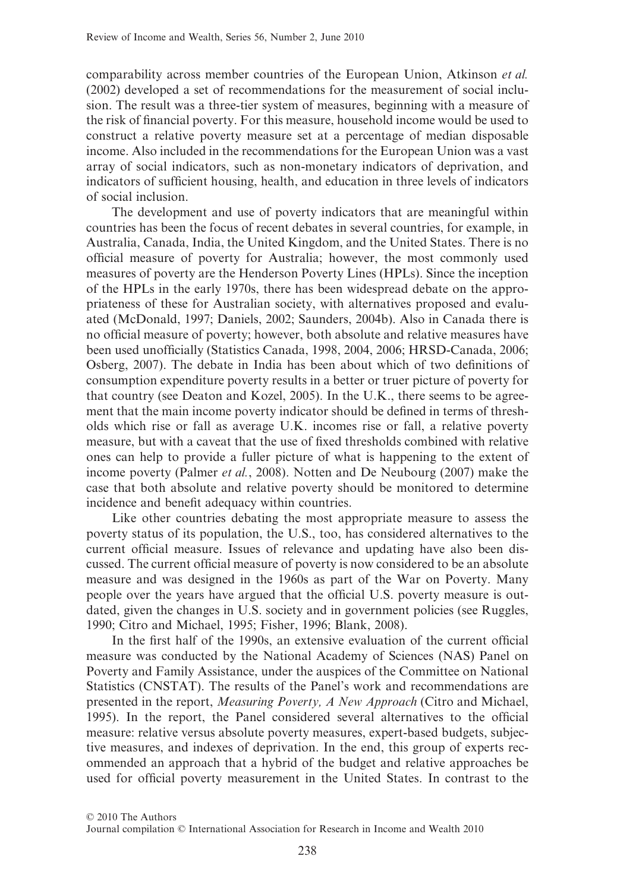comparability across member countries of the European Union, Atkinson *et al.* (2002) developed a set of recommendations for the measurement of social inclusion. The result was a three-tier system of measures, beginning with a measure of the risk of financial poverty. For this measure, household income would be used to construct a relative poverty measure set at a percentage of median disposable income. Also included in the recommendations for the European Union was a vast array of social indicators, such as non-monetary indicators of deprivation, and indicators of sufficient housing, health, and education in three levels of indicators of social inclusion.

The development and use of poverty indicators that are meaningful within countries has been the focus of recent debates in several countries, for example, in Australia, Canada, India, the United Kingdom, and the United States. There is no official measure of poverty for Australia; however, the most commonly used measures of poverty are the Henderson Poverty Lines (HPLs). Since the inception of the HPLs in the early 1970s, there has been widespread debate on the appropriateness of these for Australian society, with alternatives proposed and evaluated (McDonald, 1997; Daniels, 2002; Saunders, 2004b). Also in Canada there is no official measure of poverty; however, both absolute and relative measures have been used unofficially (Statistics Canada, 1998, 2004, 2006; HRSD-Canada, 2006; Osberg, 2007). The debate in India has been about which of two definitions of consumption expenditure poverty results in a better or truer picture of poverty for that country (see Deaton and Kozel, 2005). In the U.K., there seems to be agreement that the main income poverty indicator should be defined in terms of thresholds which rise or fall as average U.K. incomes rise or fall, a relative poverty measure, but with a caveat that the use of fixed thresholds combined with relative ones can help to provide a fuller picture of what is happening to the extent of income poverty (Palmer *et al.*, 2008). Notten and De Neubourg (2007) make the case that both absolute and relative poverty should be monitored to determine incidence and benefit adequacy within countries.

Like other countries debating the most appropriate measure to assess the poverty status of its population, the U.S., too, has considered alternatives to the current official measure. Issues of relevance and updating have also been discussed. The current official measure of poverty is now considered to be an absolute measure and was designed in the 1960s as part of the War on Poverty. Many people over the years have argued that the official U.S. poverty measure is outdated, given the changes in U.S. society and in government policies (see Ruggles, 1990; Citro and Michael, 1995; Fisher, 1996; Blank, 2008).

In the first half of the 1990s, an extensive evaluation of the current official measure was conducted by the National Academy of Sciences (NAS) Panel on Poverty and Family Assistance, under the auspices of the Committee on National Statistics (CNSTAT). The results of the Panel's work and recommendations are presented in the report, *Measuring Poverty, A New Approach* (Citro and Michael, 1995). In the report, the Panel considered several alternatives to the official measure: relative versus absolute poverty measures, expert-based budgets, subjective measures, and indexes of deprivation. In the end, this group of experts recommended an approach that a hybrid of the budget and relative approaches be used for official poverty measurement in the United States. In contrast to the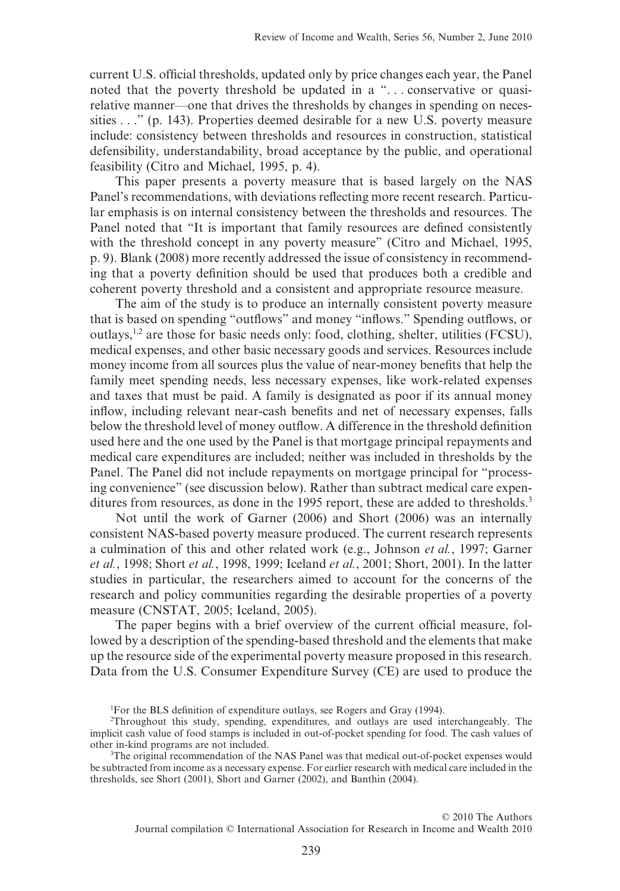current U.S. official thresholds, updated only by price changes each year, the Panel noted that the poverty threshold be updated in a ". . . conservative or quasirelative manner—one that drives the thresholds by changes in spending on necessities . . ." (p. 143). Properties deemed desirable for a new U.S. poverty measure include: consistency between thresholds and resources in construction, statistical defensibility, understandability, broad acceptance by the public, and operational feasibility (Citro and Michael, 1995, p. 4).

This paper presents a poverty measure that is based largely on the NAS Panel's recommendations, with deviations reflecting more recent research. Particular emphasis is on internal consistency between the thresholds and resources. The Panel noted that "It is important that family resources are defined consistently with the threshold concept in any poverty measure" (Citro and Michael, 1995, p. 9). Blank (2008) more recently addressed the issue of consistency in recommending that a poverty definition should be used that produces both a credible and coherent poverty threshold and a consistent and appropriate resource measure.

The aim of the study is to produce an internally consistent poverty measure that is based on spending "outflows" and money "inflows." Spending outflows, or outlays,  $^{1,2}$  are those for basic needs only: food, clothing, shelter, utilities (FCSU), medical expenses, and other basic necessary goods and services. Resources include money income from all sources plus the value of near-money benefits that help the family meet spending needs, less necessary expenses, like work-related expenses and taxes that must be paid. A family is designated as poor if its annual money inflow, including relevant near-cash benefits and net of necessary expenses, falls below the threshold level of money outflow. A difference in the threshold definition used here and the one used by the Panel is that mortgage principal repayments and medical care expenditures are included; neither was included in thresholds by the Panel. The Panel did not include repayments on mortgage principal for "processing convenience" (see discussion below). Rather than subtract medical care expenditures from resources, as done in the 1995 report, these are added to thresholds.<sup>3</sup>

Not until the work of Garner (2006) and Short (2006) was an internally consistent NAS-based poverty measure produced. The current research represents a culmination of this and other related work (e.g., Johnson *et al.*, 1997; Garner *et al.*, 1998; Short *et al.*, 1998, 1999; Iceland *et al.*, 2001; Short, 2001). In the latter studies in particular, the researchers aimed to account for the concerns of the research and policy communities regarding the desirable properties of a poverty measure (CNSTAT, 2005; Iceland, 2005).

The paper begins with a brief overview of the current official measure, followed by a description of the spending-based threshold and the elements that make up the resource side of the experimental poverty measure proposed in this research. Data from the U.S. Consumer Expenditure Survey (CE) are used to produce the

<sup>&</sup>lt;sup>1</sup>For the BLS definition of expenditure outlays, see Rogers and Gray (1994).

<sup>2</sup> Throughout this study, spending, expenditures, and outlays are used interchangeably. The implicit cash value of food stamps is included in out-of-pocket spending for food. The cash values of other in-kind programs are not included.

<sup>&</sup>lt;sup>3</sup>The original recommendation of the NAS Panel was that medical out-of-pocket expenses would be subtracted from income as a necessary expense. For earlier research with medical care included in the thresholds, see Short (2001), Short and Garner (2002), and Banthin (2004).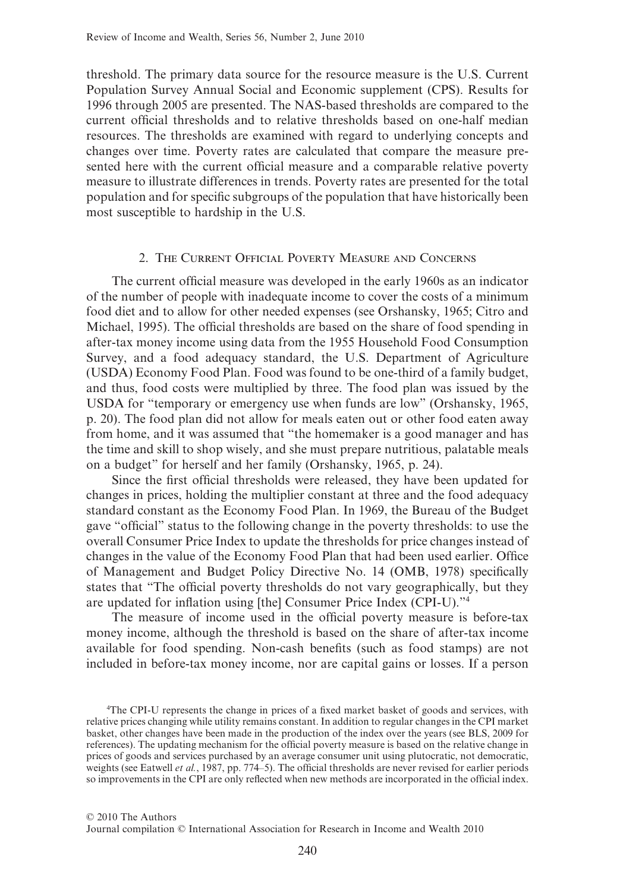threshold. The primary data source for the resource measure is the U.S. Current Population Survey Annual Social and Economic supplement (CPS). Results for 1996 through 2005 are presented. The NAS-based thresholds are compared to the current official thresholds and to relative thresholds based on one-half median resources. The thresholds are examined with regard to underlying concepts and changes over time. Poverty rates are calculated that compare the measure presented here with the current official measure and a comparable relative poverty measure to illustrate differences in trends. Poverty rates are presented for the total population and for specific subgroups of the population that have historically been most susceptible to hardship in the U.S.

### 2. The Current Official Poverty Measure and Concerns

The current official measure was developed in the early 1960s as an indicator of the number of people with inadequate income to cover the costs of a minimum food diet and to allow for other needed expenses (see Orshansky, 1965; Citro and Michael, 1995). The official thresholds are based on the share of food spending in after-tax money income using data from the 1955 Household Food Consumption Survey, and a food adequacy standard, the U.S. Department of Agriculture (USDA) Economy Food Plan. Food was found to be one-third of a family budget, and thus, food costs were multiplied by three. The food plan was issued by the USDA for "temporary or emergency use when funds are low" (Orshansky, 1965, p. 20). The food plan did not allow for meals eaten out or other food eaten away from home, and it was assumed that "the homemaker is a good manager and has the time and skill to shop wisely, and she must prepare nutritious, palatable meals on a budget" for herself and her family (Orshansky, 1965, p. 24).

Since the first official thresholds were released, they have been updated for changes in prices, holding the multiplier constant at three and the food adequacy standard constant as the Economy Food Plan. In 1969, the Bureau of the Budget gave "official" status to the following change in the poverty thresholds: to use the overall Consumer Price Index to update the thresholds for price changes instead of changes in the value of the Economy Food Plan that had been used earlier. Office of Management and Budget Policy Directive No. 14 (OMB, 1978) specifically states that "The official poverty thresholds do not vary geographically, but they are updated for inflation using [the] Consumer Price Index (CPI-U)."4

The measure of income used in the official poverty measure is before-tax money income, although the threshold is based on the share of after-tax income available for food spending. Non-cash benefits (such as food stamps) are not included in before-tax money income, nor are capital gains or losses. If a person

© 2010 The Authors Journal compilation © International Association for Research in Income and Wealth 2010

<sup>4</sup> The CPI-U represents the change in prices of a fixed market basket of goods and services, with relative prices changing while utility remains constant. In addition to regular changes in the CPI market basket, other changes have been made in the production of the index over the years (see BLS, 2009 for references). The updating mechanism for the official poverty measure is based on the relative change in prices of goods and services purchased by an average consumer unit using plutocratic, not democratic, weights (see Eatwell *et al.*, 1987, pp. 774–5). The official thresholds are never revised for earlier periods so improvements in the CPI are only reflected when new methods are incorporated in the official index.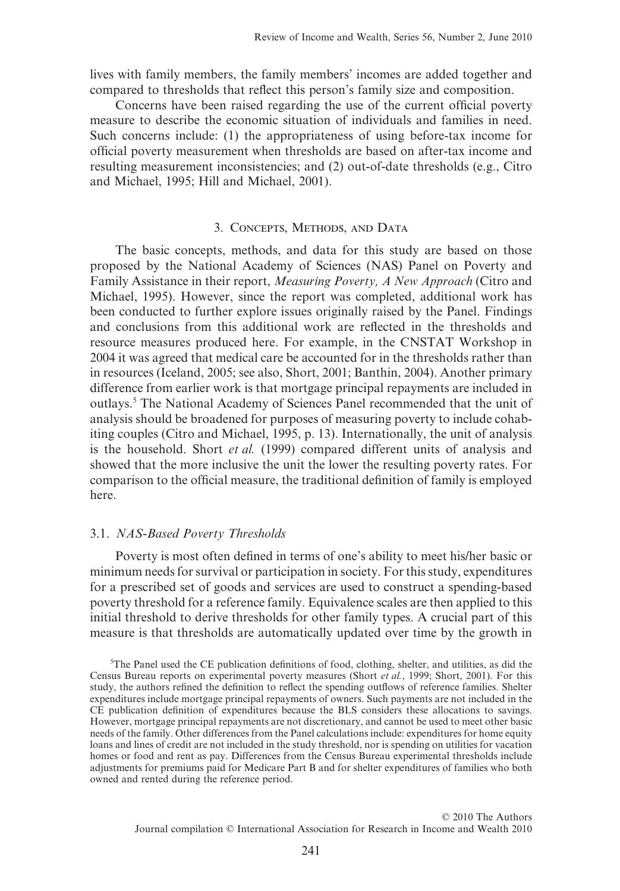lives with family members, the family members' incomes are added together and compared to thresholds that reflect this person's family size and composition.

Concerns have been raised regarding the use of the current official poverty measure to describe the economic situation of individuals and families in need. Such concerns include: (1) the appropriateness of using before-tax income for official poverty measurement when thresholds are based on after-tax income and resulting measurement inconsistencies; and (2) out-of-date thresholds (e.g., Citro and Michael, 1995; Hill and Michael, 2001).

### 3. Concepts, Methods, and Data

The basic concepts, methods, and data for this study are based on those proposed by the National Academy of Sciences (NAS) Panel on Poverty and Family Assistance in their report, *Measuring Poverty, A New Approach* (Citro and Michael, 1995). However, since the report was completed, additional work has been conducted to further explore issues originally raised by the Panel. Findings and conclusions from this additional work are reflected in the thresholds and resource measures produced here. For example, in the CNSTAT Workshop in 2004 it was agreed that medical care be accounted for in the thresholds rather than in resources (Iceland, 2005; see also, Short, 2001; Banthin, 2004). Another primary difference from earlier work is that mortgage principal repayments are included in outlays.5 The National Academy of Sciences Panel recommended that the unit of analysis should be broadened for purposes of measuring poverty to include cohabiting couples (Citro and Michael, 1995, p. 13). Internationally, the unit of analysis is the household. Short *et al.* (1999) compared different units of analysis and showed that the more inclusive the unit the lower the resulting poverty rates. For comparison to the official measure, the traditional definition of family is employed here.

### 3.1. *NAS-Based Poverty Thresholds*

Poverty is most often defined in terms of one's ability to meet his/her basic or minimum needs for survival or participation in society. For this study, expenditures for a prescribed set of goods and services are used to construct a spending-based poverty threshold for a reference family. Equivalence scales are then applied to this initial threshold to derive thresholds for other family types. A crucial part of this measure is that thresholds are automatically updated over time by the growth in

<sup>5</sup> The Panel used the CE publication definitions of food, clothing, shelter, and utilities, as did the Census Bureau reports on experimental poverty measures (Short *et al.*, 1999; Short, 2001). For this study, the authors refined the definition to reflect the spending outflows of reference families. Shelter expenditures include mortgage principal repayments of owners. Such payments are not included in the CE publication definition of expenditures because the BLS considers these allocations to savings. However, mortgage principal repayments are not discretionary, and cannot be used to meet other basic needs of the family. Other differences from the Panel calculations include: expenditures for home equity loans and lines of credit are not included in the study threshold, nor is spending on utilities for vacation homes or food and rent as pay. Differences from the Census Bureau experimental thresholds include adjustments for premiums paid for Medicare Part B and for shelter expenditures of families who both owned and rented during the reference period.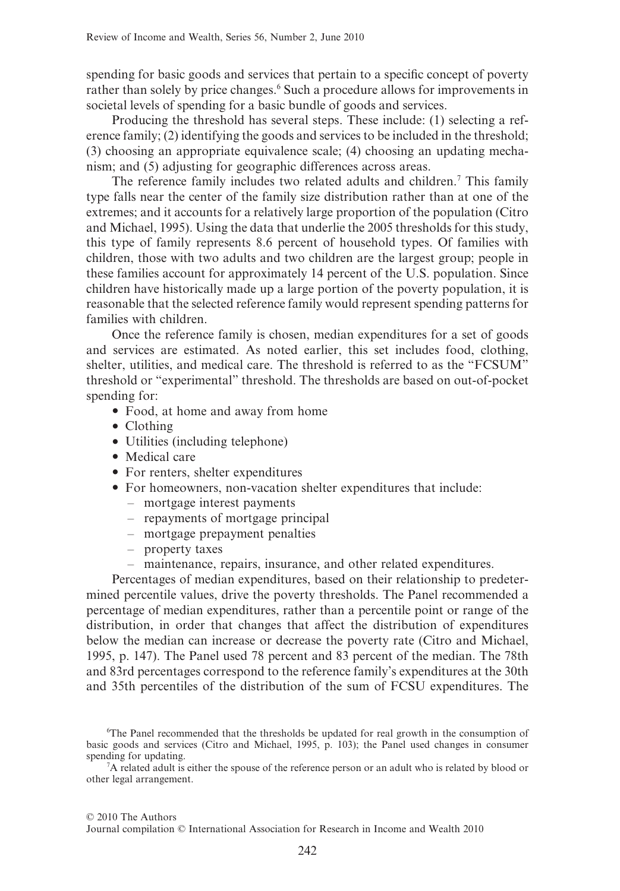spending for basic goods and services that pertain to a specific concept of poverty rather than solely by price changes.<sup>6</sup> Such a procedure allows for improvements in societal levels of spending for a basic bundle of goods and services.

Producing the threshold has several steps. These include: (1) selecting a reference family; (2) identifying the goods and services to be included in the threshold; (3) choosing an appropriate equivalence scale; (4) choosing an updating mechanism; and (5) adjusting for geographic differences across areas.

The reference family includes two related adults and children.<sup>7</sup> This family type falls near the center of the family size distribution rather than at one of the extremes; and it accounts for a relatively large proportion of the population (Citro and Michael, 1995). Using the data that underlie the 2005 thresholds for this study, this type of family represents 8.6 percent of household types. Of families with children, those with two adults and two children are the largest group; people in these families account for approximately 14 percent of the U.S. population. Since children have historically made up a large portion of the poverty population, it is reasonable that the selected reference family would represent spending patterns for families with children.

Once the reference family is chosen, median expenditures for a set of goods and services are estimated. As noted earlier, this set includes food, clothing, shelter, utilities, and medical care. The threshold is referred to as the "FCSUM" threshold or "experimental" threshold. The thresholds are based on out-of-pocket spending for:

- Food, at home and away from home
- Clothing
- Utilities (including telephone)
- Medical care
- For renters, shelter expenditures
- For homeowners, non-vacation shelter expenditures that include:
	- mortgage interest payments
	- repayments of mortgage principal
	- mortgage prepayment penalties
	- property taxes
	- maintenance, repairs, insurance, and other related expenditures.

Percentages of median expenditures, based on their relationship to predetermined percentile values, drive the poverty thresholds. The Panel recommended a percentage of median expenditures, rather than a percentile point or range of the distribution, in order that changes that affect the distribution of expenditures below the median can increase or decrease the poverty rate (Citro and Michael, 1995, p. 147). The Panel used 78 percent and 83 percent of the median. The 78th and 83rd percentages correspond to the reference family's expenditures at the 30th and 35th percentiles of the distribution of the sum of FCSU expenditures. The

<sup>6</sup> The Panel recommended that the thresholds be updated for real growth in the consumption of basic goods and services (Citro and Michael, 1995, p. 103); the Panel used changes in consumer spending for updating.

<sup>7</sup> A related adult is either the spouse of the reference person or an adult who is related by blood or other legal arrangement.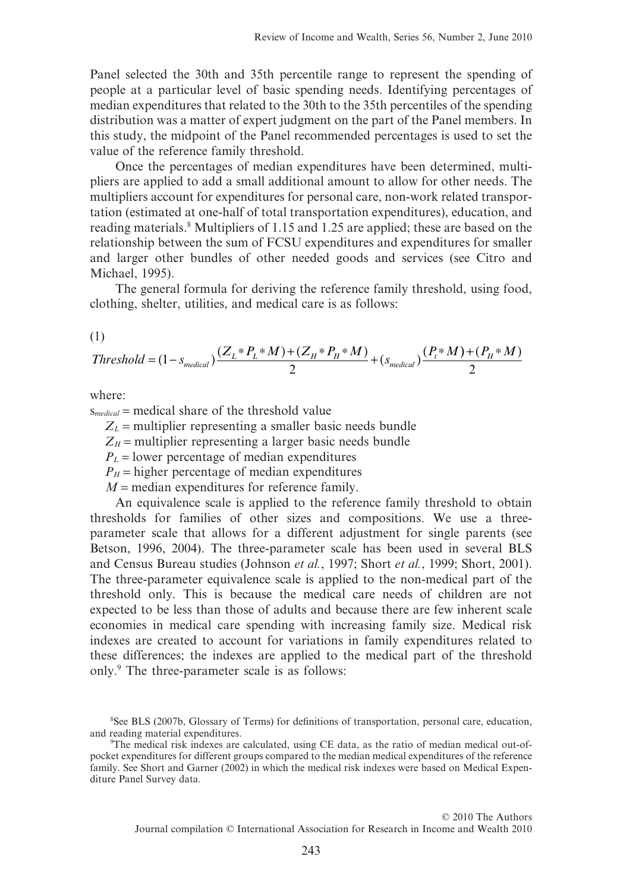Panel selected the 30th and 35th percentile range to represent the spending of people at a particular level of basic spending needs. Identifying percentages of median expenditures that related to the 30th to the 35th percentiles of the spending distribution was a matter of expert judgment on the part of the Panel members. In this study, the midpoint of the Panel recommended percentages is used to set the value of the reference family threshold.

Once the percentages of median expenditures have been determined, multipliers are applied to add a small additional amount to allow for other needs. The multipliers account for expenditures for personal care, non-work related transportation (estimated at one-half of total transportation expenditures), education, and reading materials.8 Multipliers of 1.15 and 1.25 are applied; these are based on the relationship between the sum of FCSU expenditures and expenditures for smaller and larger other bundles of other needed goods and services (see Citro and Michael, 1995).

The general formula for deriving the reference family threshold, using food, clothing, shelter, utilities, and medical care is as follows:

(1)

$$
Threshold = (1 - s_{medical}) \frac{(Z_L * P_L * M) + (Z_H * P_H * M)}{2} + (s_{medical}) \frac{(P_t * M) + (P_H * M)}{2}
$$

where:

s*medical* = medical share of the threshold value

 $Z_L$  = multiplier representing a smaller basic needs bundle

 $Z_H$  = multiplier representing a larger basic needs bundle

 $P<sub>L</sub>$  = lower percentage of median expenditures

 $P_H$  = higher percentage of median expenditures

 $M$  = median expenditures for reference family.

An equivalence scale is applied to the reference family threshold to obtain thresholds for families of other sizes and compositions. We use a threeparameter scale that allows for a different adjustment for single parents (see Betson, 1996, 2004). The three-parameter scale has been used in several BLS and Census Bureau studies (Johnson *et al.*, 1997; Short *et al.*, 1999; Short, 2001). The three-parameter equivalence scale is applied to the non-medical part of the threshold only. This is because the medical care needs of children are not expected to be less than those of adults and because there are few inherent scale economies in medical care spending with increasing family size. Medical risk indexes are created to account for variations in family expenditures related to these differences; the indexes are applied to the medical part of the threshold only.9 The three-parameter scale is as follows:

<sup>8</sup> See BLS (2007b, Glossary of Terms) for definitions of transportation, personal care, education, and reading material expenditures.

<sup>9</sup> The medical risk indexes are calculated, using CE data, as the ratio of median medical out-ofpocket expenditures for different groups compared to the median medical expenditures of the reference family. See Short and Garner (2002) in which the medical risk indexes were based on Medical Expenditure Panel Survey data.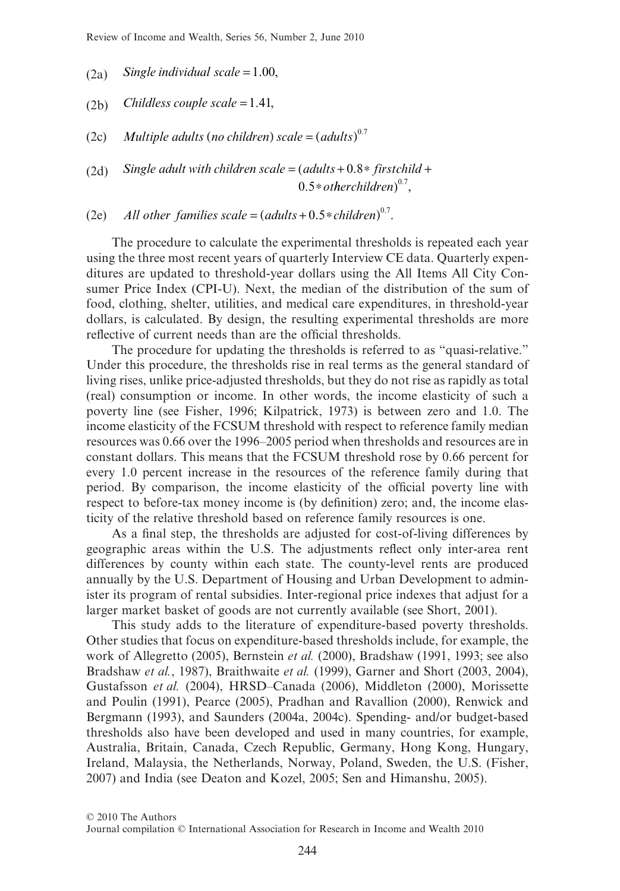- $(2a)$  *Single individual scale* = 1.00,
- $(2b)$  *Childless couple scale* = 1.41,
- $(2c)$  *Multiple adults (no children) scale* =  $(adults)$ <sup>0.7</sup>
- *Single adult with children scale* = (adults + 0.8\* firstchild +  $0.5 * \text{otherchildren}$ <sup>0.7</sup>, (2d)
- (2e) *All other families scale =*  $( adults + 0.5 * children)^{0.7}$ *.*

The procedure to calculate the experimental thresholds is repeated each year using the three most recent years of quarterly Interview CE data. Quarterly expenditures are updated to threshold-year dollars using the All Items All City Consumer Price Index (CPI-U). Next, the median of the distribution of the sum of food, clothing, shelter, utilities, and medical care expenditures, in threshold-year dollars, is calculated. By design, the resulting experimental thresholds are more reflective of current needs than are the official thresholds.

The procedure for updating the thresholds is referred to as "quasi-relative." Under this procedure, the thresholds rise in real terms as the general standard of living rises, unlike price-adjusted thresholds, but they do not rise as rapidly as total (real) consumption or income. In other words, the income elasticity of such a poverty line (see Fisher, 1996; Kilpatrick, 1973) is between zero and 1.0. The income elasticity of the FCSUM threshold with respect to reference family median resources was 0.66 over the 1996–2005 period when thresholds and resources are in constant dollars. This means that the FCSUM threshold rose by 0.66 percent for every 1.0 percent increase in the resources of the reference family during that period. By comparison, the income elasticity of the official poverty line with respect to before-tax money income is (by definition) zero; and, the income elasticity of the relative threshold based on reference family resources is one.

As a final step, the thresholds are adjusted for cost-of-living differences by geographic areas within the U.S. The adjustments reflect only inter-area rent differences by county within each state. The county-level rents are produced annually by the U.S. Department of Housing and Urban Development to administer its program of rental subsidies. Inter-regional price indexes that adjust for a larger market basket of goods are not currently available (see Short, 2001).

This study adds to the literature of expenditure-based poverty thresholds. Other studies that focus on expenditure-based thresholds include, for example, the work of Allegretto (2005), Bernstein *et al.* (2000), Bradshaw (1991, 1993; see also Bradshaw *et al.*, 1987), Braithwaite *et al.* (1999), Garner and Short (2003, 2004), Gustafsson *et al.* (2004), HRSD–Canada (2006), Middleton (2000), Morissette and Poulin (1991), Pearce (2005), Pradhan and Ravallion (2000), Renwick and Bergmann (1993), and Saunders (2004a, 2004c). Spending- and/or budget-based thresholds also have been developed and used in many countries, for example, Australia, Britain, Canada, Czech Republic, Germany, Hong Kong, Hungary, Ireland, Malaysia, the Netherlands, Norway, Poland, Sweden, the U.S. (Fisher, 2007) and India (see Deaton and Kozel, 2005; Sen and Himanshu, 2005).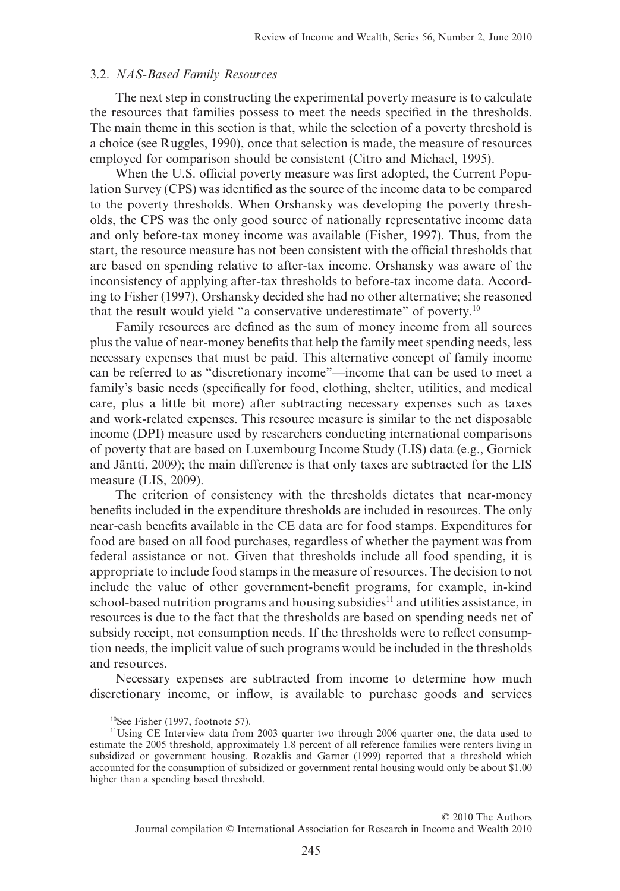# 3.2. *NAS-Based Family Resources*

The next step in constructing the experimental poverty measure is to calculate the resources that families possess to meet the needs specified in the thresholds. The main theme in this section is that, while the selection of a poverty threshold is a choice (see Ruggles, 1990), once that selection is made, the measure of resources employed for comparison should be consistent (Citro and Michael, 1995).

When the U.S. official poverty measure was first adopted, the Current Population Survey (CPS) was identified as the source of the income data to be compared to the poverty thresholds. When Orshansky was developing the poverty thresholds, the CPS was the only good source of nationally representative income data and only before-tax money income was available (Fisher, 1997). Thus, from the start, the resource measure has not been consistent with the official thresholds that are based on spending relative to after-tax income. Orshansky was aware of the inconsistency of applying after-tax thresholds to before-tax income data. According to Fisher (1997), Orshansky decided she had no other alternative; she reasoned that the result would yield "a conservative underestimate" of poverty.10

Family resources are defined as the sum of money income from all sources plus the value of near-money benefits that help the family meet spending needs, less necessary expenses that must be paid. This alternative concept of family income can be referred to as "discretionary income"—income that can be used to meet a family's basic needs (specifically for food, clothing, shelter, utilities, and medical care, plus a little bit more) after subtracting necessary expenses such as taxes and work-related expenses. This resource measure is similar to the net disposable income (DPI) measure used by researchers conducting international comparisons of poverty that are based on Luxembourg Income Study (LIS) data (e.g., Gornick and Jäntti, 2009); the main difference is that only taxes are subtracted for the LIS measure (LIS, 2009).

The criterion of consistency with the thresholds dictates that near-money benefits included in the expenditure thresholds are included in resources. The only near-cash benefits available in the CE data are for food stamps. Expenditures for food are based on all food purchases, regardless of whether the payment was from federal assistance or not. Given that thresholds include all food spending, it is appropriate to include food stamps in the measure of resources. The decision to not include the value of other government-benefit programs, for example, in-kind school-based nutrition programs and housing subsidies<sup>11</sup> and utilities assistance, in resources is due to the fact that the thresholds are based on spending needs net of subsidy receipt, not consumption needs. If the thresholds were to reflect consumption needs, the implicit value of such programs would be included in the thresholds and resources.

Necessary expenses are subtracted from income to determine how much discretionary income, or inflow, is available to purchase goods and services

 $10$ See Fisher (1997, footnote 57).

<sup>&</sup>lt;sup>11</sup>Using CE Interview data from 2003 quarter two through 2006 quarter one, the data used to estimate the 2005 threshold, approximately 1.8 percent of all reference families were renters living in subsidized or government housing. Rozaklis and Garner (1999) reported that a threshold which accounted for the consumption of subsidized or government rental housing would only be about \$1.00 higher than a spending based threshold.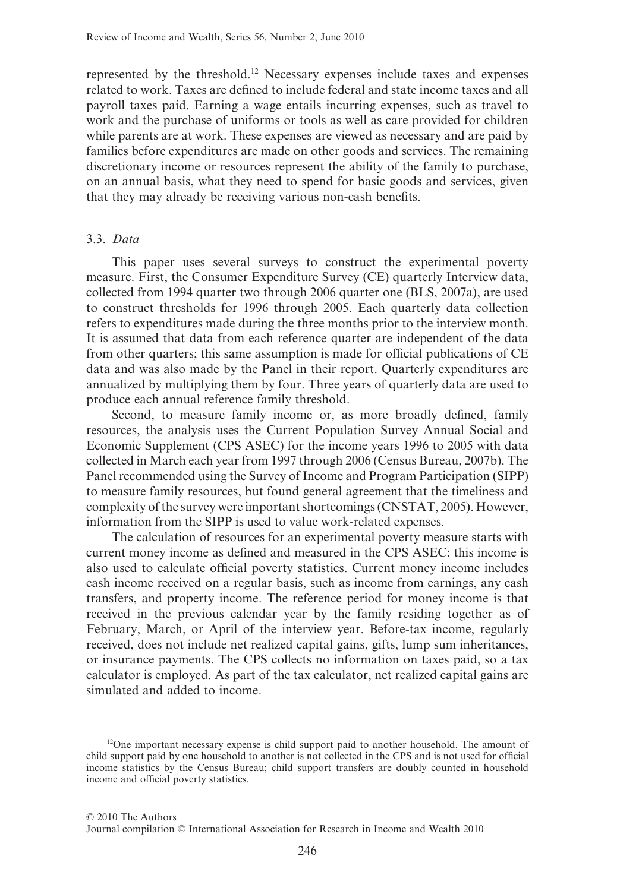represented by the threshold.12 Necessary expenses include taxes and expenses related to work. Taxes are defined to include federal and state income taxes and all payroll taxes paid. Earning a wage entails incurring expenses, such as travel to work and the purchase of uniforms or tools as well as care provided for children while parents are at work. These expenses are viewed as necessary and are paid by families before expenditures are made on other goods and services. The remaining discretionary income or resources represent the ability of the family to purchase, on an annual basis, what they need to spend for basic goods and services, given that they may already be receiving various non-cash benefits.

### 3.3. *Data*

This paper uses several surveys to construct the experimental poverty measure. First, the Consumer Expenditure Survey (CE) quarterly Interview data, collected from 1994 quarter two through 2006 quarter one (BLS, 2007a), are used to construct thresholds for 1996 through 2005. Each quarterly data collection refers to expenditures made during the three months prior to the interview month. It is assumed that data from each reference quarter are independent of the data from other quarters; this same assumption is made for official publications of CE data and was also made by the Panel in their report. Quarterly expenditures are annualized by multiplying them by four. Three years of quarterly data are used to produce each annual reference family threshold.

Second, to measure family income or, as more broadly defined, family resources, the analysis uses the Current Population Survey Annual Social and Economic Supplement (CPS ASEC) for the income years 1996 to 2005 with data collected in March each year from 1997 through 2006 (Census Bureau, 2007b). The Panel recommended using the Survey of Income and Program Participation (SIPP) to measure family resources, but found general agreement that the timeliness and complexity of the survey were important shortcomings (CNSTAT, 2005). However, information from the SIPP is used to value work-related expenses.

The calculation of resources for an experimental poverty measure starts with current money income as defined and measured in the CPS ASEC; this income is also used to calculate official poverty statistics. Current money income includes cash income received on a regular basis, such as income from earnings, any cash transfers, and property income. The reference period for money income is that received in the previous calendar year by the family residing together as of February, March, or April of the interview year. Before-tax income, regularly received, does not include net realized capital gains, gifts, lump sum inheritances, or insurance payments. The CPS collects no information on taxes paid, so a tax calculator is employed. As part of the tax calculator, net realized capital gains are simulated and added to income.

<sup>&</sup>lt;sup>12</sup>One important necessary expense is child support paid to another household. The amount of child support paid by one household to another is not collected in the CPS and is not used for official income statistics by the Census Bureau; child support transfers are doubly counted in household income and official poverty statistics.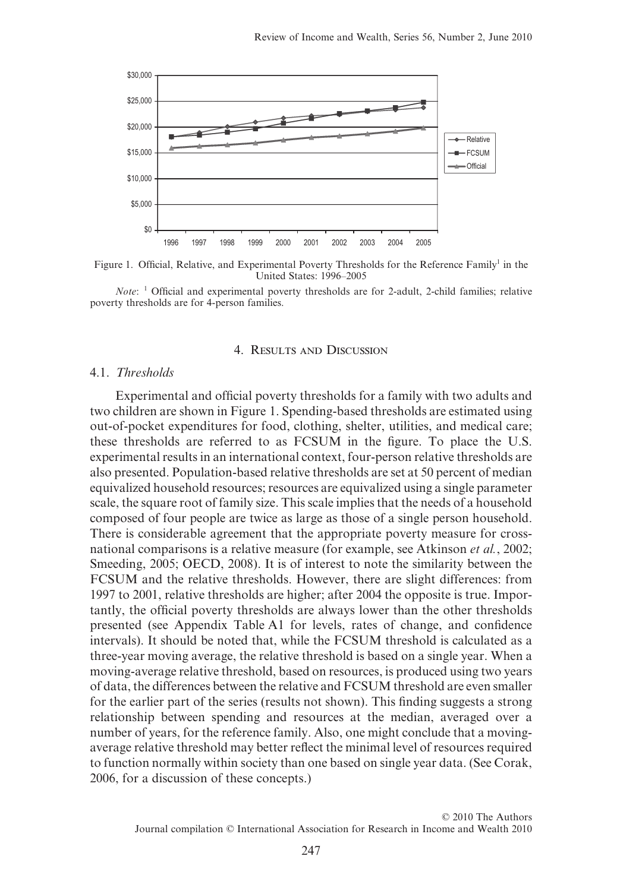



*Note*: <sup>1</sup> Official and experimental poverty thresholds are for 2-adult, 2-child families; relative poverty thresholds are for 4-person families.

#### 4. Results and Discussion

#### 4.1. *Thresholds*

Experimental and official poverty thresholds for a family with two adults and two children are shown in Figure 1. Spending-based thresholds are estimated using out-of-pocket expenditures for food, clothing, shelter, utilities, and medical care; these thresholds are referred to as FCSUM in the figure. To place the U.S. experimental results in an international context, four-person relative thresholds are also presented. Population-based relative thresholds are set at 50 percent of median equivalized household resources; resources are equivalized using a single parameter scale, the square root of family size. This scale implies that the needs of a household composed of four people are twice as large as those of a single person household. There is considerable agreement that the appropriate poverty measure for crossnational comparisons is a relative measure (for example, see Atkinson *et al.*, 2002; Smeeding, 2005; OECD, 2008). It is of interest to note the similarity between the FCSUM and the relative thresholds. However, there are slight differences: from 1997 to 2001, relative thresholds are higher; after 2004 the opposite is true. Importantly, the official poverty thresholds are always lower than the other thresholds presented (see Appendix Table A1 for levels, rates of change, and confidence intervals). It should be noted that, while the FCSUM threshold is calculated as a three-year moving average, the relative threshold is based on a single year. When a moving-average relative threshold, based on resources, is produced using two years of data, the differences between the relative and FCSUM threshold are even smaller for the earlier part of the series (results not shown). This finding suggests a strong relationship between spending and resources at the median, averaged over a number of years, for the reference family. Also, one might conclude that a movingaverage relative threshold may better reflect the minimal level of resources required to function normally within society than one based on single year data. (See Corak, 2006, for a discussion of these concepts.)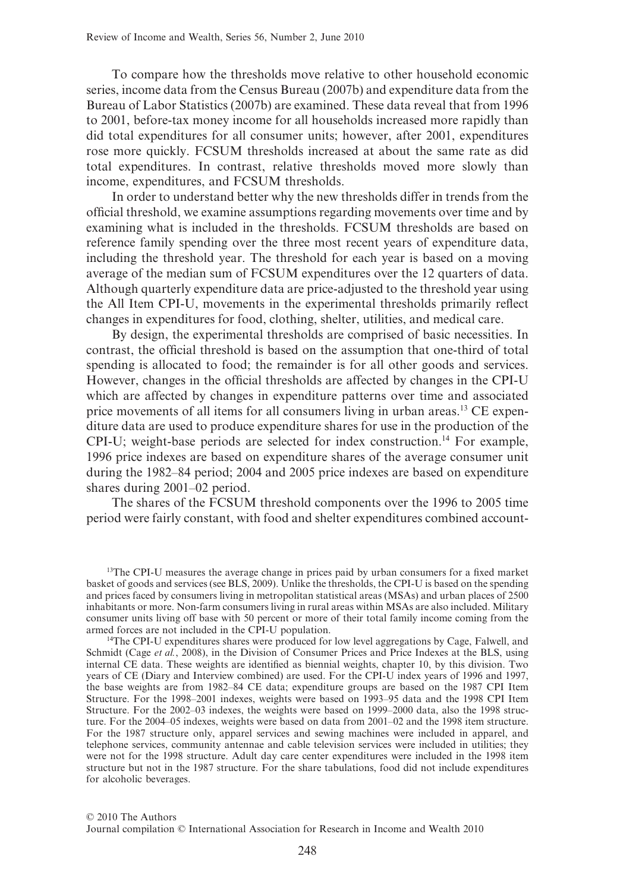To compare how the thresholds move relative to other household economic series, income data from the Census Bureau (2007b) and expenditure data from the Bureau of Labor Statistics (2007b) are examined. These data reveal that from 1996 to 2001, before-tax money income for all households increased more rapidly than did total expenditures for all consumer units; however, after 2001, expenditures rose more quickly. FCSUM thresholds increased at about the same rate as did total expenditures. In contrast, relative thresholds moved more slowly than income, expenditures, and FCSUM thresholds.

In order to understand better why the new thresholds differ in trends from the official threshold, we examine assumptions regarding movements over time and by examining what is included in the thresholds. FCSUM thresholds are based on reference family spending over the three most recent years of expenditure data, including the threshold year. The threshold for each year is based on a moving average of the median sum of FCSUM expenditures over the 12 quarters of data. Although quarterly expenditure data are price-adjusted to the threshold year using the All Item CPI-U, movements in the experimental thresholds primarily reflect changes in expenditures for food, clothing, shelter, utilities, and medical care.

By design, the experimental thresholds are comprised of basic necessities. In contrast, the official threshold is based on the assumption that one-third of total spending is allocated to food; the remainder is for all other goods and services. However, changes in the official thresholds are affected by changes in the CPI-U which are affected by changes in expenditure patterns over time and associated price movements of all items for all consumers living in urban areas.<sup>13</sup> CE expenditure data are used to produce expenditure shares for use in the production of the  $CPI-U$ ; weight-base periods are selected for index construction.<sup>14</sup> For example, 1996 price indexes are based on expenditure shares of the average consumer unit during the 1982–84 period; 2004 and 2005 price indexes are based on expenditure shares during 2001–02 period.

The shares of the FCSUM threshold components over the 1996 to 2005 time period were fairly constant, with food and shelter expenditures combined account-

© 2010 The Authors Journal compilation © International Association for Research in Income and Wealth 2010

<sup>&</sup>lt;sup>13</sup>The CPI-U measures the average change in prices paid by urban consumers for a fixed market basket of goods and services (see BLS, 2009). Unlike the thresholds, the CPI-U is based on the spending and prices faced by consumers living in metropolitan statistical areas (MSAs) and urban places of 2500 inhabitants or more. Non-farm consumers living in rural areas within MSAs are also included. Military consumer units living off base with 50 percent or more of their total family income coming from the armed forces are not included in the CPI-U population.

<sup>&</sup>lt;sup>14</sup>The CPI-U expenditures shares were produced for low level aggregations by Cage, Falwell, and Schmidt (Cage *et al.*, 2008), in the Division of Consumer Prices and Price Indexes at the BLS, using internal CE data. These weights are identified as biennial weights, chapter 10, by this division. Two years of CE (Diary and Interview combined) are used. For the CPI-U index years of 1996 and 1997, the base weights are from 1982–84 CE data; expenditure groups are based on the 1987 CPI Item Structure. For the 1998–2001 indexes, weights were based on 1993–95 data and the 1998 CPI Item Structure. For the 2002–03 indexes, the weights were based on 1999–2000 data, also the 1998 structure. For the 2004–05 indexes, weights were based on data from 2001–02 and the 1998 item structure. For the 1987 structure only, apparel services and sewing machines were included in apparel, and telephone services, community antennae and cable television services were included in utilities; they were not for the 1998 structure. Adult day care center expenditures were included in the 1998 item structure but not in the 1987 structure. For the share tabulations, food did not include expenditures for alcoholic beverages.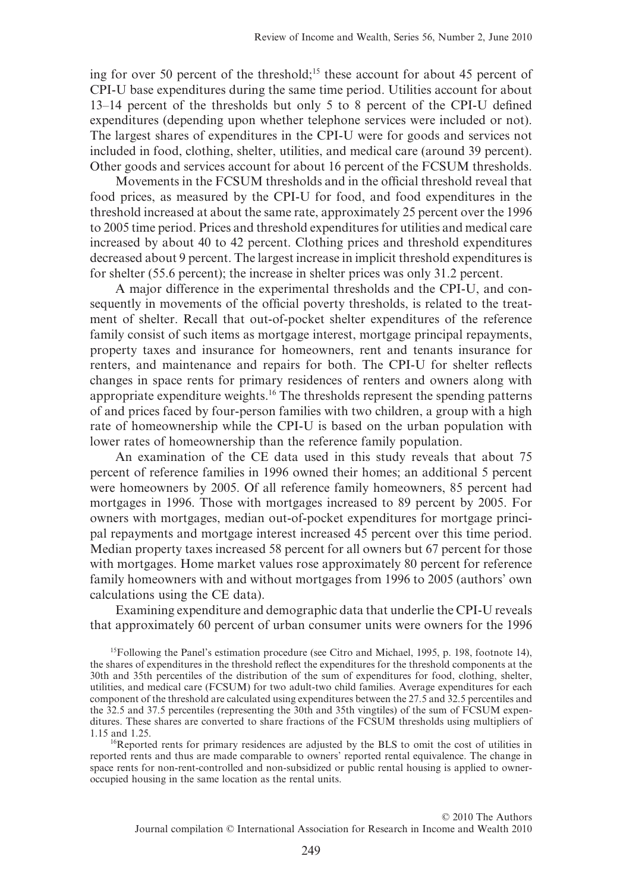ing for over 50 percent of the threshold;<sup>15</sup> these account for about 45 percent of CPI-U base expenditures during the same time period. Utilities account for about 13–14 percent of the thresholds but only 5 to 8 percent of the CPI-U defined expenditures (depending upon whether telephone services were included or not). The largest shares of expenditures in the CPI-U were for goods and services not included in food, clothing, shelter, utilities, and medical care (around 39 percent). Other goods and services account for about 16 percent of the FCSUM thresholds.

Movements in the FCSUM thresholds and in the official threshold reveal that food prices, as measured by the CPI-U for food, and food expenditures in the threshold increased at about the same rate, approximately 25 percent over the 1996 to 2005 time period. Prices and threshold expenditures for utilities and medical care increased by about 40 to 42 percent. Clothing prices and threshold expenditures decreased about 9 percent. The largest increase in implicit threshold expenditures is for shelter (55.6 percent); the increase in shelter prices was only 31.2 percent.

A major difference in the experimental thresholds and the CPI-U, and consequently in movements of the official poverty thresholds, is related to the treatment of shelter. Recall that out-of-pocket shelter expenditures of the reference family consist of such items as mortgage interest, mortgage principal repayments, property taxes and insurance for homeowners, rent and tenants insurance for renters, and maintenance and repairs for both. The CPI-U for shelter reflects changes in space rents for primary residences of renters and owners along with appropriate expenditure weights.16 The thresholds represent the spending patterns of and prices faced by four-person families with two children, a group with a high rate of homeownership while the CPI-U is based on the urban population with lower rates of homeownership than the reference family population.

An examination of the CE data used in this study reveals that about 75 percent of reference families in 1996 owned their homes; an additional 5 percent were homeowners by 2005. Of all reference family homeowners, 85 percent had mortgages in 1996. Those with mortgages increased to 89 percent by 2005. For owners with mortgages, median out-of-pocket expenditures for mortgage principal repayments and mortgage interest increased 45 percent over this time period. Median property taxes increased 58 percent for all owners but 67 percent for those with mortgages. Home market values rose approximately 80 percent for reference family homeowners with and without mortgages from 1996 to 2005 (authors' own calculations using the CE data).

Examining expenditure and demographic data that underlie the CPI-U reveals that approximately 60 percent of urban consumer units were owners for the 1996

<sup>16</sup>Reported rents for primary residences are adjusted by the BLS to omit the cost of utilities in reported rents and thus are made comparable to owners' reported rental equivalence. The change in space rents for non-rent-controlled and non-subsidized or public rental housing is applied to owneroccupied housing in the same location as the rental units.

<sup>&</sup>lt;sup>15</sup>Following the Panel's estimation procedure (see Citro and Michael, 1995, p. 198, footnote 14), the shares of expenditures in the threshold reflect the expenditures for the threshold components at the 30th and 35th percentiles of the distribution of the sum of expenditures for food, clothing, shelter, utilities, and medical care (FCSUM) for two adult-two child families. Average expenditures for each component of the threshold are calculated using expenditures between the 27.5 and 32.5 percentiles and the 32.5 and 37.5 percentiles (representing the 30th and 35th vingtiles) of the sum of FCSUM expenditures. These shares are converted to share fractions of the FCSUM thresholds using multipliers of 1.15 and 1.25.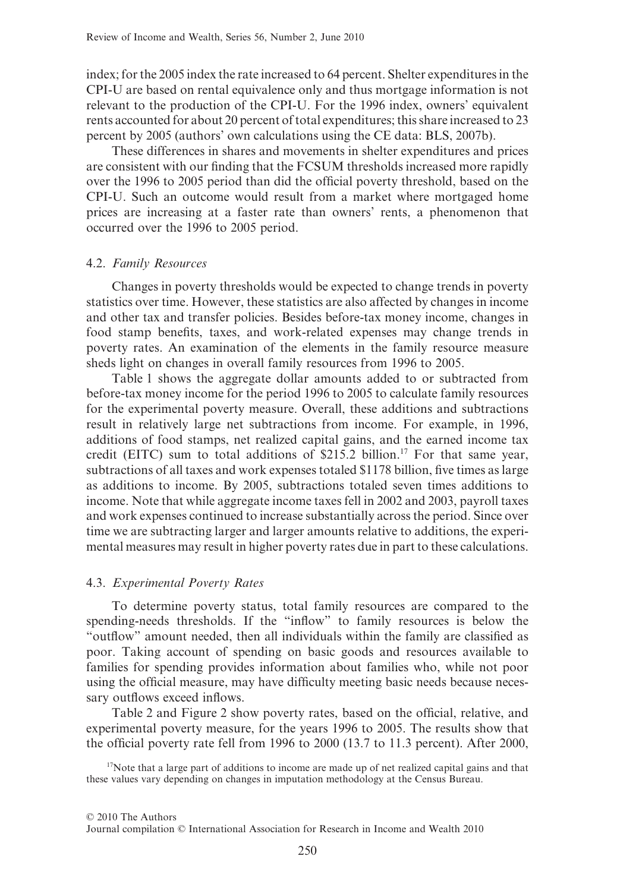index; for the 2005 index the rate increased to 64 percent. Shelter expenditures in the CPI-U are based on rental equivalence only and thus mortgage information is not relevant to the production of the CPI-U. For the 1996 index, owners' equivalent rents accounted for about 20 percent of total expenditures; this share increased to 23 percent by 2005 (authors' own calculations using the CE data: BLS, 2007b).

These differences in shares and movements in shelter expenditures and prices are consistent with our finding that the FCSUM thresholds increased more rapidly over the 1996 to 2005 period than did the official poverty threshold, based on the CPI-U. Such an outcome would result from a market where mortgaged home prices are increasing at a faster rate than owners' rents, a phenomenon that occurred over the 1996 to 2005 period.

# 4.2. *Family Resources*

Changes in poverty thresholds would be expected to change trends in poverty statistics over time. However, these statistics are also affected by changes in income and other tax and transfer policies. Besides before-tax money income, changes in food stamp benefits, taxes, and work-related expenses may change trends in poverty rates. An examination of the elements in the family resource measure sheds light on changes in overall family resources from 1996 to 2005.

Table 1 shows the aggregate dollar amounts added to or subtracted from before-tax money income for the period 1996 to 2005 to calculate family resources for the experimental poverty measure. Overall, these additions and subtractions result in relatively large net subtractions from income. For example, in 1996, additions of food stamps, net realized capital gains, and the earned income tax credit (EITC) sum to total additions of \$215.2 billion.<sup>17</sup> For that same year, subtractions of all taxes and work expenses totaled \$1178 billion, five times as large as additions to income. By 2005, subtractions totaled seven times additions to income. Note that while aggregate income taxes fell in 2002 and 2003, payroll taxes and work expenses continued to increase substantially across the period. Since over time we are subtracting larger and larger amounts relative to additions, the experimental measures may result in higher poverty rates due in part to these calculations.

### 4.3. *Experimental Poverty Rates*

To determine poverty status, total family resources are compared to the spending-needs thresholds. If the "inflow" to family resources is below the "outflow" amount needed, then all individuals within the family are classified as poor. Taking account of spending on basic goods and resources available to families for spending provides information about families who, while not poor using the official measure, may have difficulty meeting basic needs because necessary outflows exceed inflows.

Table 2 and Figure 2 show poverty rates, based on the official, relative, and experimental poverty measure, for the years 1996 to 2005. The results show that the official poverty rate fell from 1996 to 2000 (13.7 to 11.3 percent). After 2000,

 $17$ Note that a large part of additions to income are made up of net realized capital gains and that these values vary depending on changes in imputation methodology at the Census Bureau.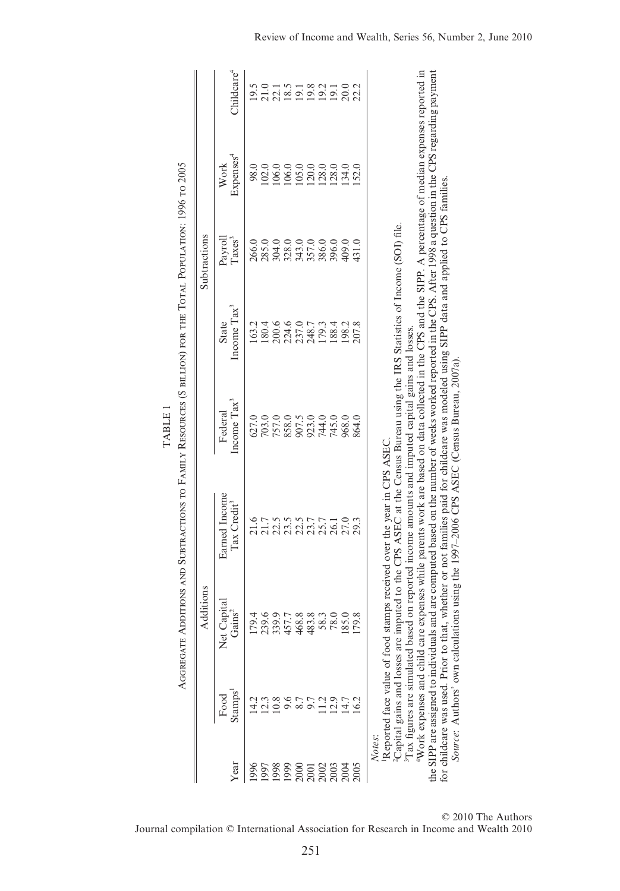| ADDITIONS AND SUBTRACTIONS TO FAMILY RESOURCES (S BILLION) FOR THE TOTAL POPULATION: 1996 TO 2005<br>Subtractions | Childcare <sup>4</sup><br>Expenses <sup>4</sup><br>Work<br>$\Gamma$ axes <sup>3</sup><br>Payroll<br>Income Tax <sup>3</sup><br>State<br>Income $\text{Tax}^3$<br>Federal<br>Earned Income<br>Tax Credit <sup>3</sup> | 19.5<br>98.0<br>102.0<br>266.0<br>163.2<br>180.4<br>627.0<br>703.0<br>21.6 | 106.0<br>7.5.9.977<br>7.8.9.977<br>7.9.9.9.9.9 | $21.5$<br>$23.58$<br>$21.5$<br>$21.5$<br>00.6<br>224.6<br>237.8<br>248.7<br>757.0<br>888.0<br>907.5 | 106.0       | 120.0<br>923.0 | 128.0<br>179.3     | 128.0<br>188.4<br>745.0<br>26.1<br>27.0 | 20.0<br>34.0<br>198.2<br>968.0 | 22.2<br>52.0<br>431.0<br>207.8<br>864.0<br>29.3 | stamps received over the year in CPS ASEC. | imputed to the CPS ASEC at the Census Bureau using the IRS Statistics of Income (SOI) file. |
|-------------------------------------------------------------------------------------------------------------------|----------------------------------------------------------------------------------------------------------------------------------------------------------------------------------------------------------------------|----------------------------------------------------------------------------|------------------------------------------------|-----------------------------------------------------------------------------------------------------|-------------|----------------|--------------------|-----------------------------------------|--------------------------------|-------------------------------------------------|--------------------------------------------|---------------------------------------------------------------------------------------------|
|                                                                                                                   |                                                                                                                                                                                                                      |                                                                            |                                                |                                                                                                     |             |                |                    |                                         |                                |                                                 |                                            |                                                                                             |
| Additions<br>AGGREGATE                                                                                            | Net Capital<br>Gains <sup>2</sup>                                                                                                                                                                                    | 239.6<br>179.4                                                             | 339.9                                          | 457.7                                                                                               | 468.8       | 483.8          | 58.3               | 78.0                                    | 185.0                          | 179.8                                           | Reported face value of food                | Capital gains and losses are                                                                |
|                                                                                                                   | Stamps'<br>Food<br>Year                                                                                                                                                                                              | $\frac{23}{2}$<br>1996<br>1997                                             | 1998                                           | 1999                                                                                                | <b>2000</b> | 2001           | 1.2<br><b>2002</b> | 12.9<br>2003                            | 14.7<br>2004                   | 16.2<br>200 <sup>2</sup>                        | Notes:                                     |                                                                                             |

TABLE 1

TABLE 1

© 2010 The Authors Journal compilation © International Association for Research in Income and Wealth 2010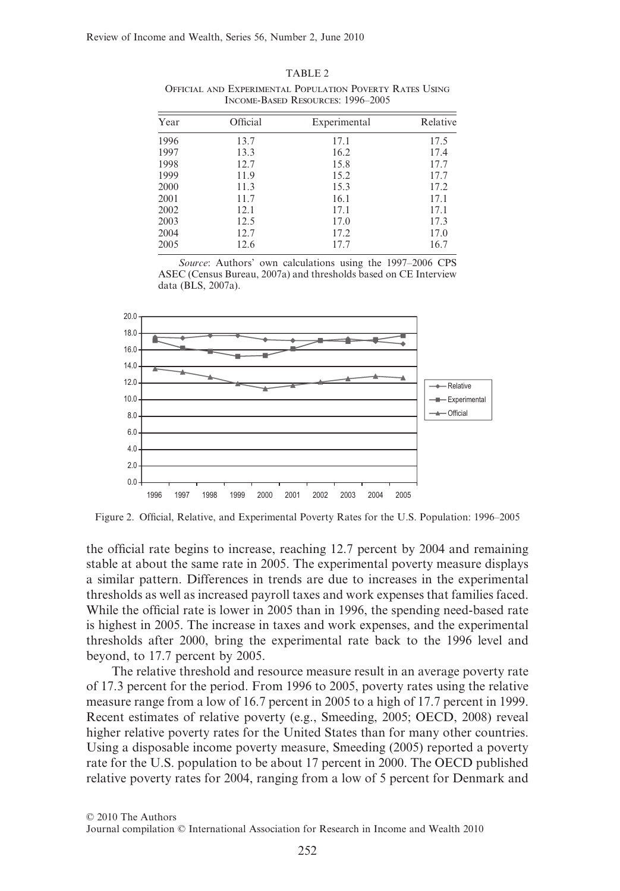| Year | Official | Experimental | Relative |  |  |
|------|----------|--------------|----------|--|--|
| 1996 | 13.7     | 17.1         | 17.5     |  |  |
| 1997 | 13.3     | 16.2         | 17.4     |  |  |
| 1998 | 12.7     | 15.8         | 17.7     |  |  |
| 1999 | 11.9     | 15.2         | 17.7     |  |  |
| 2000 | 11.3     | 15.3         | 17.2     |  |  |
| 2001 | 11.7     | 16.1         | 17.1     |  |  |
| 2002 | 12.1     | 17.1         | 17.1     |  |  |
| 2003 | 12.5     | 17.0         | 17.3     |  |  |
| 2004 | 12.7     | 17.2         | 17.0     |  |  |
| 2005 | 12.6     | 17.7         | 16.7     |  |  |
|      |          |              |          |  |  |

TABLE 2 Official and Experimental Population Poverty Rates Using Income-Based Resources: 1996–2005

*Source*: Authors' own calculations using the 1997–2006 CPS ASEC (Census Bureau, 2007a) and thresholds based on CE Interview data (BLS, 2007a).



Figure 2. Official, Relative, and Experimental Poverty Rates for the U.S. Population: 1996–2005

the official rate begins to increase, reaching 12.7 percent by 2004 and remaining stable at about the same rate in 2005. The experimental poverty measure displays a similar pattern. Differences in trends are due to increases in the experimental thresholds as well as increased payroll taxes and work expenses that families faced. While the official rate is lower in 2005 than in 1996, the spending need-based rate is highest in 2005. The increase in taxes and work expenses, and the experimental thresholds after 2000, bring the experimental rate back to the 1996 level and beyond, to 17.7 percent by 2005.

The relative threshold and resource measure result in an average poverty rate of 17.3 percent for the period. From 1996 to 2005, poverty rates using the relative measure range from a low of 16.7 percent in 2005 to a high of 17.7 percent in 1999. Recent estimates of relative poverty (e.g., Smeeding, 2005; OECD, 2008) reveal higher relative poverty rates for the United States than for many other countries. Using a disposable income poverty measure, Smeeding (2005) reported a poverty rate for the U.S. population to be about 17 percent in 2000. The OECD published relative poverty rates for 2004, ranging from a low of 5 percent for Denmark and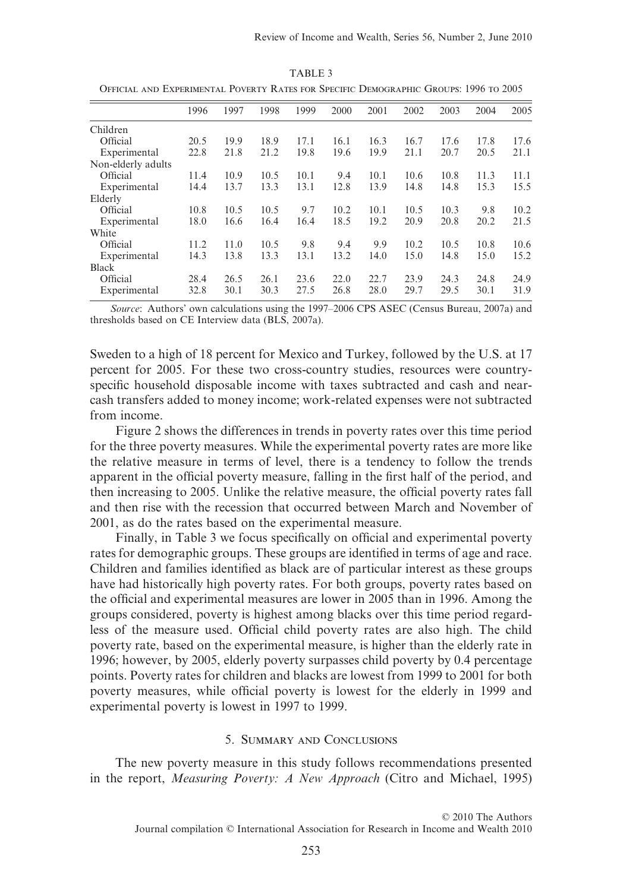|                    | 1996 | 1997 | 1998 | 1999 | 2000 | 2001 | 2002 | 2003 | 2004 | 2005 |
|--------------------|------|------|------|------|------|------|------|------|------|------|
| Children           |      |      |      |      |      |      |      |      |      |      |
| Official           | 20.5 | 19.9 | 18.9 | 17.1 | 16.1 | 16.3 | 16.7 | 17.6 | 17.8 | 17.6 |
| Experimental       | 22.8 | 21.8 | 21.2 | 19.8 | 19.6 | 19.9 | 21.1 | 20.7 | 20.5 | 21.1 |
| Non-elderly adults |      |      |      |      |      |      |      |      |      |      |
| Official           | 11.4 | 10.9 | 10.5 | 10.1 | 9.4  | 10.1 | 10.6 | 10.8 | 11.3 | 11.1 |
| Experimental       | 14.4 | 13.7 | 13.3 | 13.1 | 12.8 | 13.9 | 14.8 | 14.8 | 15.3 | 15.5 |
| Elderly            |      |      |      |      |      |      |      |      |      |      |
| Official           | 10.8 | 10.5 | 10.5 | 9.7  | 10.2 | 10.1 | 10.5 | 10.3 | 9.8  | 10.2 |
| Experimental       | 18.0 | 16.6 | 16.4 | 16.4 | 18.5 | 19.2 | 20.9 | 20.8 | 20.2 | 21.5 |
| White              |      |      |      |      |      |      |      |      |      |      |
| Official           | 11.2 | 11.0 | 10.5 | 9.8  | 9.4  | 9.9  | 10.2 | 10.5 | 10.8 | 10.6 |
| Experimental       | 14.3 | 13.8 | 13.3 | 13.1 | 13.2 | 14.0 | 15.0 | 14.8 | 15.0 | 15.2 |
| <b>Black</b>       |      |      |      |      |      |      |      |      |      |      |
| Official           | 28.4 | 26.5 | 26.1 | 23.6 | 22.0 | 22.7 | 23.9 | 24.3 | 24.8 | 24.9 |
| Experimental       | 32.8 | 30.1 | 30.3 | 27.5 | 26.8 | 28.0 | 29.7 | 29.5 | 30.1 | 31.9 |
|                    |      |      |      |      |      |      |      |      |      |      |

TABLE 3 Official and Experimental Poverty Rates for Specific Demographic Groups: 1996 to 2005

*Source*: Authors' own calculations using the 1997–2006 CPS ASEC (Census Bureau, 2007a) and thresholds based on CE Interview data (BLS, 2007a).

Sweden to a high of 18 percent for Mexico and Turkey, followed by the U.S. at 17 percent for 2005. For these two cross-country studies, resources were countryspecific household disposable income with taxes subtracted and cash and nearcash transfers added to money income; work-related expenses were not subtracted from income.

Figure 2 shows the differences in trends in poverty rates over this time period for the three poverty measures. While the experimental poverty rates are more like the relative measure in terms of level, there is a tendency to follow the trends apparent in the official poverty measure, falling in the first half of the period, and then increasing to 2005. Unlike the relative measure, the official poverty rates fall and then rise with the recession that occurred between March and November of 2001, as do the rates based on the experimental measure.

Finally, in Table 3 we focus specifically on official and experimental poverty rates for demographic groups. These groups are identified in terms of age and race. Children and families identified as black are of particular interest as these groups have had historically high poverty rates. For both groups, poverty rates based on the official and experimental measures are lower in 2005 than in 1996. Among the groups considered, poverty is highest among blacks over this time period regardless of the measure used. Official child poverty rates are also high. The child poverty rate, based on the experimental measure, is higher than the elderly rate in 1996; however, by 2005, elderly poverty surpasses child poverty by 0.4 percentage points. Poverty rates for children and blacks are lowest from 1999 to 2001 for both poverty measures, while official poverty is lowest for the elderly in 1999 and experimental poverty is lowest in 1997 to 1999.

# 5. Summary and Conclusions

The new poverty measure in this study follows recommendations presented in the report, *Measuring Poverty: A New Approach* (Citro and Michael, 1995)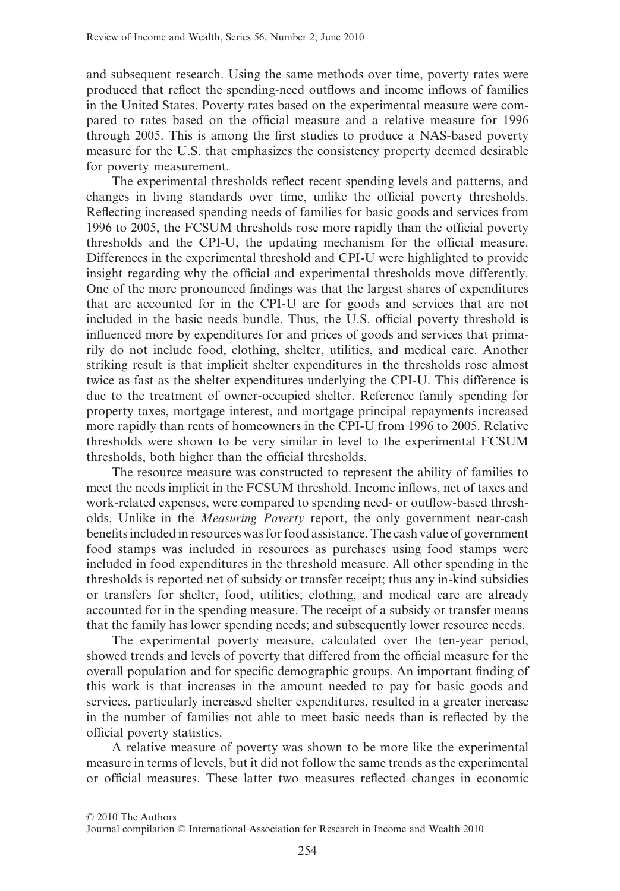and subsequent research. Using the same methods over time, poverty rates were produced that reflect the spending-need outflows and income inflows of families in the United States. Poverty rates based on the experimental measure were compared to rates based on the official measure and a relative measure for 1996 through 2005. This is among the first studies to produce a NAS-based poverty measure for the U.S. that emphasizes the consistency property deemed desirable for poverty measurement.

The experimental thresholds reflect recent spending levels and patterns, and changes in living standards over time, unlike the official poverty thresholds. Reflecting increased spending needs of families for basic goods and services from 1996 to 2005, the FCSUM thresholds rose more rapidly than the official poverty thresholds and the CPI-U, the updating mechanism for the official measure. Differences in the experimental threshold and CPI-U were highlighted to provide insight regarding why the official and experimental thresholds move differently. One of the more pronounced findings was that the largest shares of expenditures that are accounted for in the CPI-U are for goods and services that are not included in the basic needs bundle. Thus, the U.S. official poverty threshold is influenced more by expenditures for and prices of goods and services that primarily do not include food, clothing, shelter, utilities, and medical care. Another striking result is that implicit shelter expenditures in the thresholds rose almost twice as fast as the shelter expenditures underlying the CPI-U. This difference is due to the treatment of owner-occupied shelter. Reference family spending for property taxes, mortgage interest, and mortgage principal repayments increased more rapidly than rents of homeowners in the CPI-U from 1996 to 2005. Relative thresholds were shown to be very similar in level to the experimental FCSUM thresholds, both higher than the official thresholds.

The resource measure was constructed to represent the ability of families to meet the needs implicit in the FCSUM threshold. Income inflows, net of taxes and work-related expenses, were compared to spending need- or outflow-based thresholds. Unlike in the *Measuring Poverty* report, the only government near-cash benefits included in resources was for food assistance. The cash value of government food stamps was included in resources as purchases using food stamps were included in food expenditures in the threshold measure. All other spending in the thresholds is reported net of subsidy or transfer receipt; thus any in-kind subsidies or transfers for shelter, food, utilities, clothing, and medical care are already accounted for in the spending measure. The receipt of a subsidy or transfer means that the family has lower spending needs; and subsequently lower resource needs.

The experimental poverty measure, calculated over the ten-year period, showed trends and levels of poverty that differed from the official measure for the overall population and for specific demographic groups. An important finding of this work is that increases in the amount needed to pay for basic goods and services, particularly increased shelter expenditures, resulted in a greater increase in the number of families not able to meet basic needs than is reflected by the official poverty statistics.

A relative measure of poverty was shown to be more like the experimental measure in terms of levels, but it did not follow the same trends as the experimental or official measures. These latter two measures reflected changes in economic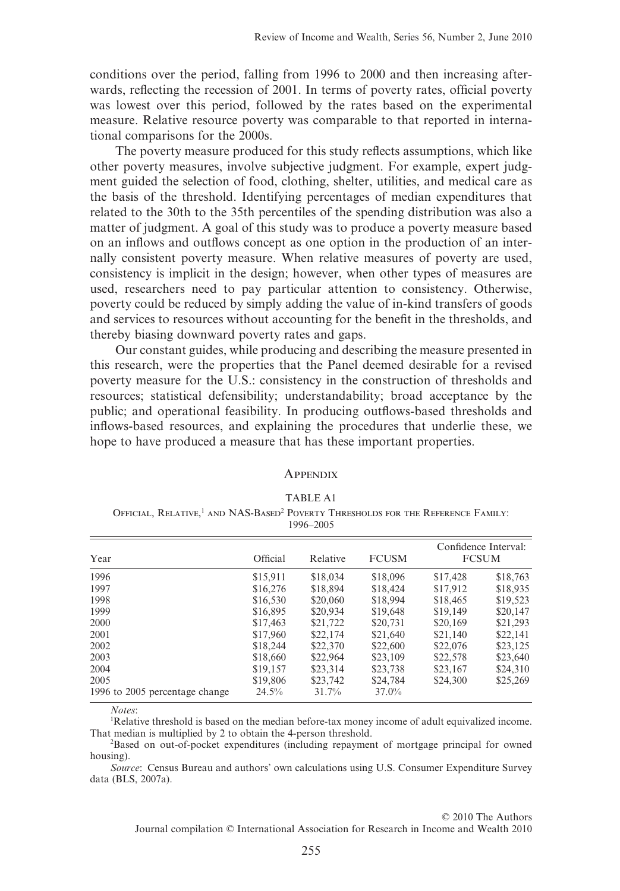conditions over the period, falling from 1996 to 2000 and then increasing afterwards, reflecting the recession of 2001. In terms of poverty rates, official poverty was lowest over this period, followed by the rates based on the experimental measure. Relative resource poverty was comparable to that reported in international comparisons for the 2000s.

The poverty measure produced for this study reflects assumptions, which like other poverty measures, involve subjective judgment. For example, expert judgment guided the selection of food, clothing, shelter, utilities, and medical care as the basis of the threshold. Identifying percentages of median expenditures that related to the 30th to the 35th percentiles of the spending distribution was also a matter of judgment. A goal of this study was to produce a poverty measure based on an inflows and outflows concept as one option in the production of an internally consistent poverty measure. When relative measures of poverty are used, consistency is implicit in the design; however, when other types of measures are used, researchers need to pay particular attention to consistency. Otherwise, poverty could be reduced by simply adding the value of in-kind transfers of goods and services to resources without accounting for the benefit in the thresholds, and thereby biasing downward poverty rates and gaps.

Our constant guides, while producing and describing the measure presented in this research, were the properties that the Panel deemed desirable for a revised poverty measure for the U.S.: consistency in the construction of thresholds and resources; statistical defensibility; understandability; broad acceptance by the public; and operational feasibility. In producing outflows-based thresholds and inflows-based resources, and explaining the procedures that underlie these, we hope to have produced a measure that has these important properties.

#### **APPENDIX**

# TABLE A1

OFFICIAL, RELATIVE,<sup>1</sup> AND NAS-BASED<sup>2</sup> POVERTY THRESHOLDS FOR THE REFERENCE FAMILY: 1996–2005

| Year                           | Official | Relative | <b>FCUSM</b> | Confidence Interval:<br><b>FCSUM</b> |          |  |
|--------------------------------|----------|----------|--------------|--------------------------------------|----------|--|
| 1996                           | \$15,911 | \$18,034 | \$18,096     | \$17,428                             | \$18,763 |  |
| 1997                           | \$16,276 | \$18,894 | \$18,424     | \$17,912                             | \$18,935 |  |
| 1998                           | \$16,530 | \$20,060 | \$18,994     | \$18,465                             | \$19,523 |  |
| 1999                           | \$16,895 | \$20,934 | \$19,648     | \$19,149                             | \$20,147 |  |
| 2000                           | \$17,463 | \$21,722 | \$20,731     | \$20,169                             | \$21,293 |  |
| 2001                           | \$17,960 | \$22,174 | \$21,640     | \$21,140                             | \$22,141 |  |
| 2002                           | \$18,244 | \$22,370 | \$22,600     | \$22,076                             | \$23,125 |  |
| 2003                           | \$18,660 | \$22,964 | \$23,109     | \$22,578                             | \$23,640 |  |
| 2004                           | \$19,157 | \$23,314 | \$23,738     | \$23,167                             | \$24,310 |  |
| 2005                           | \$19,806 | \$23,742 | \$24,784     | \$24,300                             | \$25,269 |  |
| 1996 to 2005 percentage change | 24.5%    | 31.7%    | $37.0\%$     |                                      |          |  |

*Notes*:

<sup>1</sup>Relative threshold is based on the median before-tax money income of adult equivalized income. That median is multiplied by 2 to obtain the 4-person threshold.

2 Based on out-of-pocket expenditures (including repayment of mortgage principal for owned housing).

*Source*: Census Bureau and authors' own calculations using U.S. Consumer Expenditure Survey data (BLS, 2007a).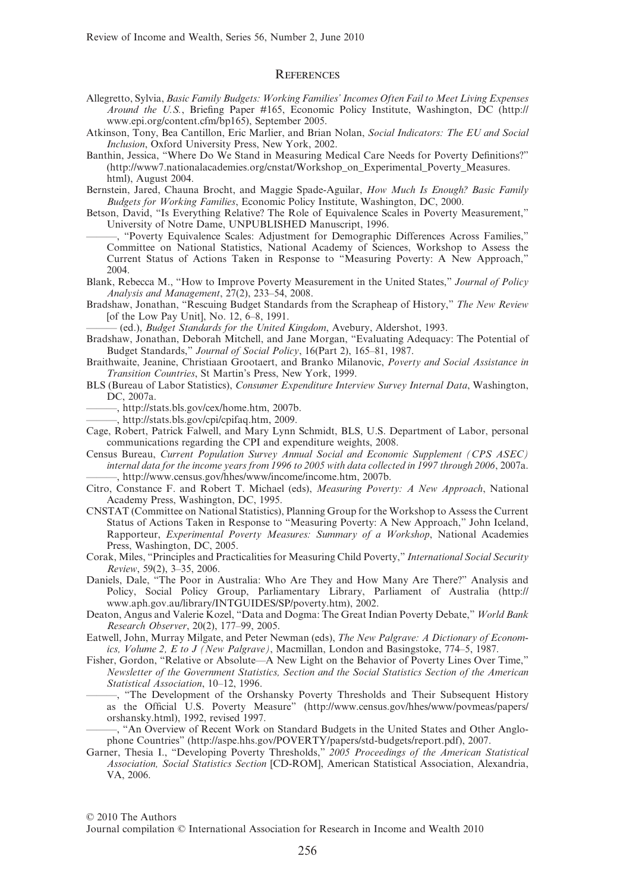#### **REFERENCES**

- Allegretto, Sylvia, *Basic Family Budgets: Working Families' Incomes Often Fail to Meet Living Expenses Around the U.S.*, Briefing Paper #165, Economic Policy Institute, Washington, DC (http:// www.epi.org/content.cfm/bp165), September 2005.
- Atkinson, Tony, Bea Cantillon, Eric Marlier, and Brian Nolan, *Social Indicators: The EU and Social Inclusion*, Oxford University Press, New York, 2002.
- Banthin, Jessica, "Where Do We Stand in Measuring Medical Care Needs for Poverty Definitions?" (http://www7.nationalacademies.org/cnstat/Workshop\_on\_Experimental\_Poverty\_Measures. html), August 2004.
- Bernstein, Jared, Chauna Brocht, and Maggie Spade-Aguilar, *How Much Is Enough? Basic Family Budgets for Working Families*, Economic Policy Institute, Washington, DC, 2000.
- Betson, David, "Is Everything Relative? The Role of Equivalence Scales in Poverty Measurement," University of Notre Dame, UNPUBLISHED Manuscript, 1996.
	- ———, "Poverty Equivalence Scales: Adjustment for Demographic Differences Across Families," Committee on National Statistics, National Academy of Sciences, Workshop to Assess the Current Status of Actions Taken in Response to "Measuring Poverty: A New Approach," 2004.
- Blank, Rebecca M., "How to Improve Poverty Measurement in the United States," *Journal of Policy Analysis and Management*, 27(2), 233–54, 2008.
- Bradshaw, Jonathan, "Rescuing Budget Standards from the Scrapheap of History," *The New Review* [of the Low Pay Unit], No. 12, 6–8, 1991.
	- ——— (ed.), *Budget Standards for the United Kingdom*, Avebury, Aldershot, 1993.
- Bradshaw, Jonathan, Deborah Mitchell, and Jane Morgan, "Evaluating Adequacy: The Potential of Budget Standards," *Journal of Social Policy*, 16(Part 2), 165–81, 1987.
- Braithwaite, Jeanine, Christiaan Grootaert, and Branko Milanovic, *Poverty and Social Assistance in Transition Countries*, St Martin's Press, New York, 1999.
- BLS (Bureau of Labor Statistics), *Consumer Expenditure Interview Survey Internal Data*, Washington, DC, 2007a.
	- ———, http://stats.bls.gov/cex/home.htm, 2007b.
	- ———, http://stats.bls.gov/cpi/cpifaq.htm, 2009.
- Cage, Robert, Patrick Falwell, and Mary Lynn Schmidt, BLS, U.S. Department of Labor, personal communications regarding the CPI and expenditure weights, 2008.
- Census Bureau, *Current Population Survey Annual Social and Economic Supplement (CPS ASEC) internal data for the income years from 1996 to 2005 with data collected in 1997 through 2006*, 2007a. -, http://www.census.gov/hhes/www/income/income.htm, 2007b.
- Citro, Constance F. and Robert T. Michael (eds), *Measuring Poverty: A New Approach*, National Academy Press, Washington, DC, 1995.
- CNSTAT (Committee on National Statistics), Planning Group for the Workshop to Assess the Current Status of Actions Taken in Response to "Measuring Poverty: A New Approach," John Iceland, Rapporteur, *Experimental Poverty Measures: Summary of a Workshop*, National Academies Press, Washington, DC, 2005.
- Corak, Miles, "Principles and Practicalities for Measuring Child Poverty," *International Social Security Review*, 59(2), 3–35, 2006.
- Daniels, Dale, "The Poor in Australia: Who Are They and How Many Are There?" Analysis and Policy, Social Policy Group, Parliamentary Library, Parliament of Australia (http:// www.aph.gov.au/library/INTGUIDES/SP/poverty.htm), 2002.
- Deaton, Angus and Valerie Kozel, "Data and Dogma: The Great Indian Poverty Debate," *World Bank Research Observer*, 20(2), 177–99, 2005.
- Eatwell, John, Murray Milgate, and Peter Newman (eds), *The New Palgrave: A Dictionary of Economics, Volume 2, E to J (New Palgrave)*, Macmillan, London and Basingstoke, 774–5, 1987.
- Fisher, Gordon, "Relative or Absolute—A New Light on the Behavior of Poverty Lines Over Time," *Newsletter of the Government Statistics, Section and the Social Statistics Section of the American Statistical Association*, 10–12, 1996.
	- ———, "The Development of the Orshansky Poverty Thresholds and Their Subsequent History as the Official U.S. Poverty Measure" (http://www.census.gov/hhes/www/povmeas/papers/ orshansky.html), 1992, revised 1997.
- ———, "An Overview of Recent Work on Standard Budgets in the United States and Other Anglophone Countries" (http://aspe.hhs.gov/POVERTY/papers/std-budgets/report.pdf), 2007.
- Garner, Thesia I., "Developing Poverty Thresholds," *2005 Proceedings of the American Statistical Association, Social Statistics Section* [CD-ROM], American Statistical Association, Alexandria, VA, 2006.

© 2010 The Authors

Journal compilation © International Association for Research in Income and Wealth 2010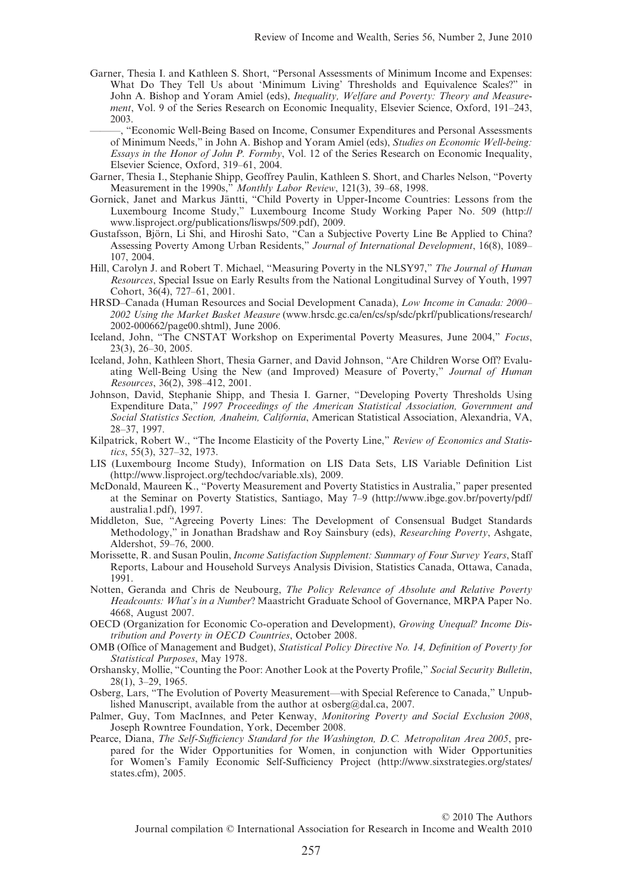- Garner, Thesia I. and Kathleen S. Short, "Personal Assessments of Minimum Income and Expenses: What Do They Tell Us about 'Minimum Living' Thresholds and Equivalence Scales?" in John A. Bishop and Yoram Amiel (eds), *Inequality, Welfare and Poverty: Theory and Measurement*, Vol. 9 of the Series Research on Economic Inequality, Elsevier Science, Oxford, 191–243, 2003.
	- ———, "Economic Well-Being Based on Income, Consumer Expenditures and Personal Assessments of Minimum Needs," in John A. Bishop and Yoram Amiel (eds), *Studies on Economic Well-being: Essays in the Honor of John P. Formby*, Vol. 12 of the Series Research on Economic Inequality, Elsevier Science, Oxford, 319–61, 2004.
- Garner, Thesia I., Stephanie Shipp, Geoffrey Paulin, Kathleen S. Short, and Charles Nelson, "Poverty Measurement in the 1990s," *Monthly Labor Review*, 121(3), 39–68, 1998.
- Gornick, Janet and Markus Jäntti, "Child Poverty in Upper-Income Countries: Lessons from the Luxembourg Income Study," Luxembourg Income Study Working Paper No. 509 (http:// www.lisproject.org/publications/liswps/509.pdf), 2009.
- Gustafsson, Björn, Li Shi, and Hiroshi Sato, "Can a Subjective Poverty Line Be Applied to China? Assessing Poverty Among Urban Residents," *Journal of International Development*, 16(8), 1089– 107, 2004.
- Hill, Carolyn J. and Robert T. Michael, "Measuring Poverty in the NLSY97," *The Journal of Human Resources*, Special Issue on Early Results from the National Longitudinal Survey of Youth, 1997 Cohort, 36(4), 727–61, 2001.
- HRSD–Canada (Human Resources and Social Development Canada), *Low Income in Canada: 2000– 2002 Using the Market Basket Measure* (www.hrsdc.gc.ca/en/cs/sp/sdc/pkrf/publications/research/ 2002-000662/page00.shtml), June 2006.
- Iceland, John, "The CNSTAT Workshop on Experimental Poverty Measures, June 2004," *Focus*, 23(3), 26–30, 2005.
- Iceland, John, Kathleen Short, Thesia Garner, and David Johnson, "Are Children Worse Off? Evaluating Well-Being Using the New (and Improved) Measure of Poverty," *Journal of Human Resources*, 36(2), 398–412, 2001.
- Johnson, David, Stephanie Shipp, and Thesia I. Garner, "Developing Poverty Thresholds Using Expenditure Data," *1997 Proceedings of the American Statistical Association, Government and Social Statistics Section, Anaheim, California*, American Statistical Association, Alexandria, VA, 28–37, 1997.
- Kilpatrick, Robert W., "The Income Elasticity of the Poverty Line," *Review of Economics and Statistics*, 55(3), 327–32, 1973.
- LIS (Luxembourg Income Study), Information on LIS Data Sets, LIS Variable Definition List (http://www.lisproject.org/techdoc/variable.xls), 2009.
- McDonald, Maureen K., "Poverty Measurement and Poverty Statistics in Australia," paper presented at the Seminar on Poverty Statistics, Santiago, May 7–9 (http://www.ibge.gov.br/poverty/pdf/ australia1.pdf), 1997.
- Middleton, Sue, "Agreeing Poverty Lines: The Development of Consensual Budget Standards Methodology," in Jonathan Bradshaw and Roy Sainsbury (eds), *Researching Poverty*, Ashgate, Aldershot, 59–76, 2000.
- Morissette, R. and Susan Poulin, *Income Satisfaction Supplement: Summary of Four Survey Years*, Staff Reports, Labour and Household Surveys Analysis Division, Statistics Canada, Ottawa, Canada, 1991.
- Notten, Geranda and Chris de Neubourg, *The Policy Relevance of Absolute and Relative Poverty Headcounts: What's in a Number*? Maastricht Graduate School of Governance, MRPA Paper No. 4668, August 2007.
- OECD (Organization for Economic Co-operation and Development), *Growing Unequal? Income Distribution and Poverty in OECD Countries*, October 2008.
- OMB (Office of Management and Budget), *Statistical Policy Directive No. 14, Definition of Poverty for Statistical Purposes*, May 1978.
- Orshansky, Mollie, "Counting the Poor: Another Look at the Poverty Profile," *Social Security Bulletin*, 28(1), 3–29, 1965.
- Osberg, Lars, "The Evolution of Poverty Measurement—with Special Reference to Canada," Unpublished Manuscript, available from the author at osberg@dal.ca, 2007.
- Palmer, Guy, Tom MacInnes, and Peter Kenway, *Monitoring Poverty and Social Exclusion 2008*, Joseph Rowntree Foundation, York, December 2008.
- Pearce, Diana, *The Self-Sufficiency Standard for the Washington, D.C. Metropolitan Area 2005*, prepared for the Wider Opportunities for Women, in conjunction with Wider Opportunities for Women's Family Economic Self-Sufficiency Project (http://www.sixstrategies.org/states/ states.cfm), 2005.